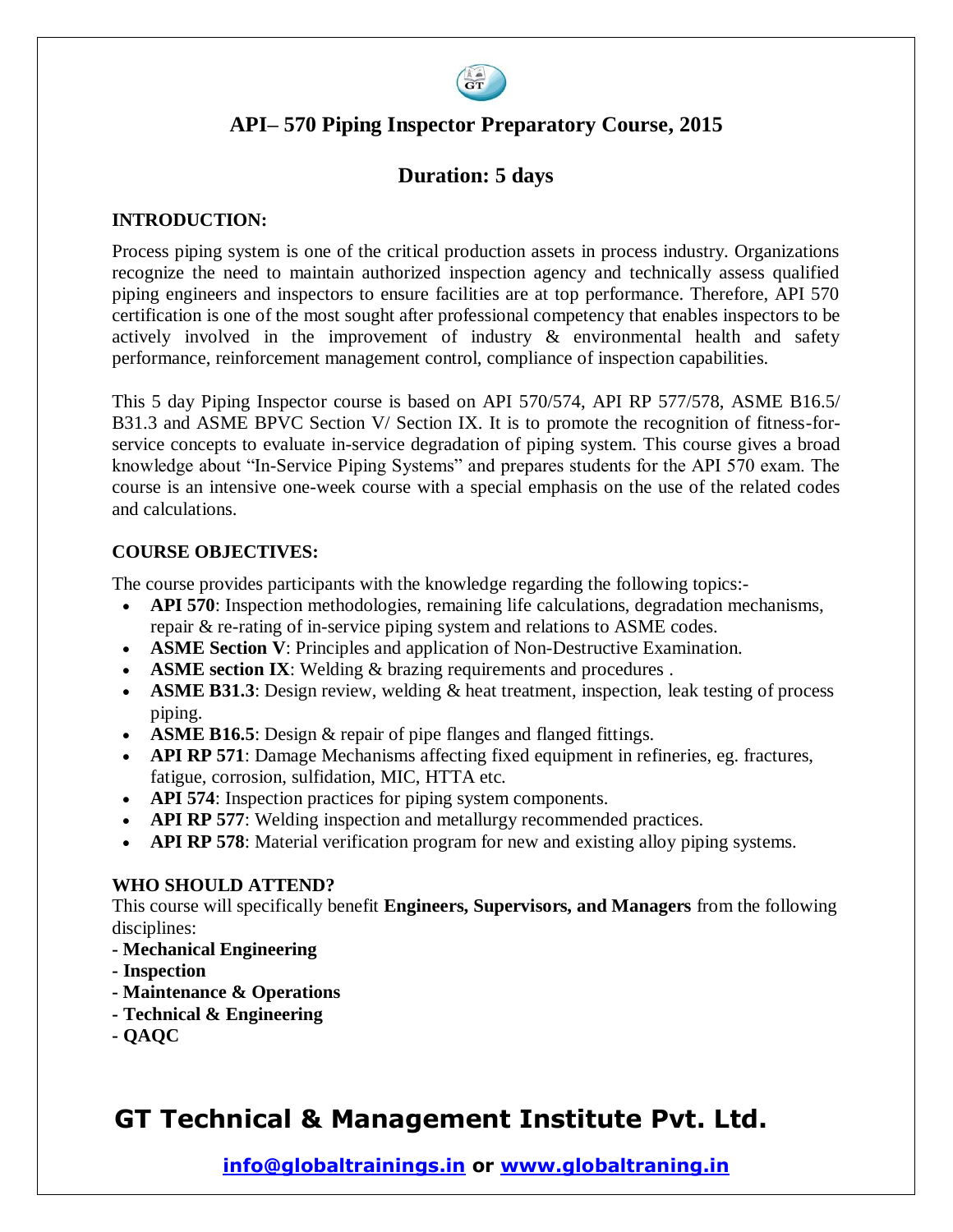

## **API– 570 Piping Inspector Preparatory Course, 2015**

## **Duration: 5 days**

#### **INTRODUCTION:**

Process piping system is one of the critical production assets in process industry. Organizations recognize the need to maintain authorized inspection agency and technically assess qualified piping engineers and inspectors to ensure facilities are at top performance. Therefore, API 570 certification is one of the most sought after professional competency that enables inspectors to be actively involved in the improvement of industry & environmental health and safety performance, reinforcement management control, compliance of inspection capabilities.

This 5 day Piping Inspector course is based on API 570/574, API RP 577/578, ASME B16.5/ B31.3 and ASME BPVC Section V/ Section IX. It is to promote the recognition of fitness-forservice concepts to evaluate in-service degradation of piping system. This course gives a broad knowledge about "In-Service Piping Systems" and prepares students for the API 570 exam. The course is an intensive one-week course with a special emphasis on the use of the related codes and calculations.

### **COURSE OBJECTIVES:**

The course provides participants with the knowledge regarding the following topics:-

- **API 570**: Inspection methodologies, remaining life calculations, degradation mechanisms, repair & re-rating of in-service piping system and relations to ASME codes.
- **ASME Section V**: Principles and application of Non-Destructive Examination.
- **ASME section IX**: Welding & brazing requirements and procedures .
- **ASME B31.3**: Design review, welding & heat treatment, inspection, leak testing of process piping.
- **ASME B16.5**: Design & repair of pipe flanges and flanged fittings.
- **API RP 571**: Damage Mechanisms affecting fixed equipment in refineries, eg. fractures, fatigue, corrosion, sulfidation, MIC, HTTA etc.
- **API 574**: Inspection practices for piping system components.
- **API RP 577**: Welding inspection and metallurgy recommended practices.
- **API RP 578**: Material verification program for new and existing alloy piping systems.

#### **WHO SHOULD ATTEND?**

This course will specifically benefit **Engineers, Supervisors, and Managers** from the following disciplines:

- **- Mechanical Engineering**
- **- Inspection**
- **- Maintenance & Operations**
- **- Technical & Engineering**
- **- QAQC**

# **GT Technical & Management Institute Pvt. Ltd.**

**info@globaltrainings.in or www.globaltraning.in**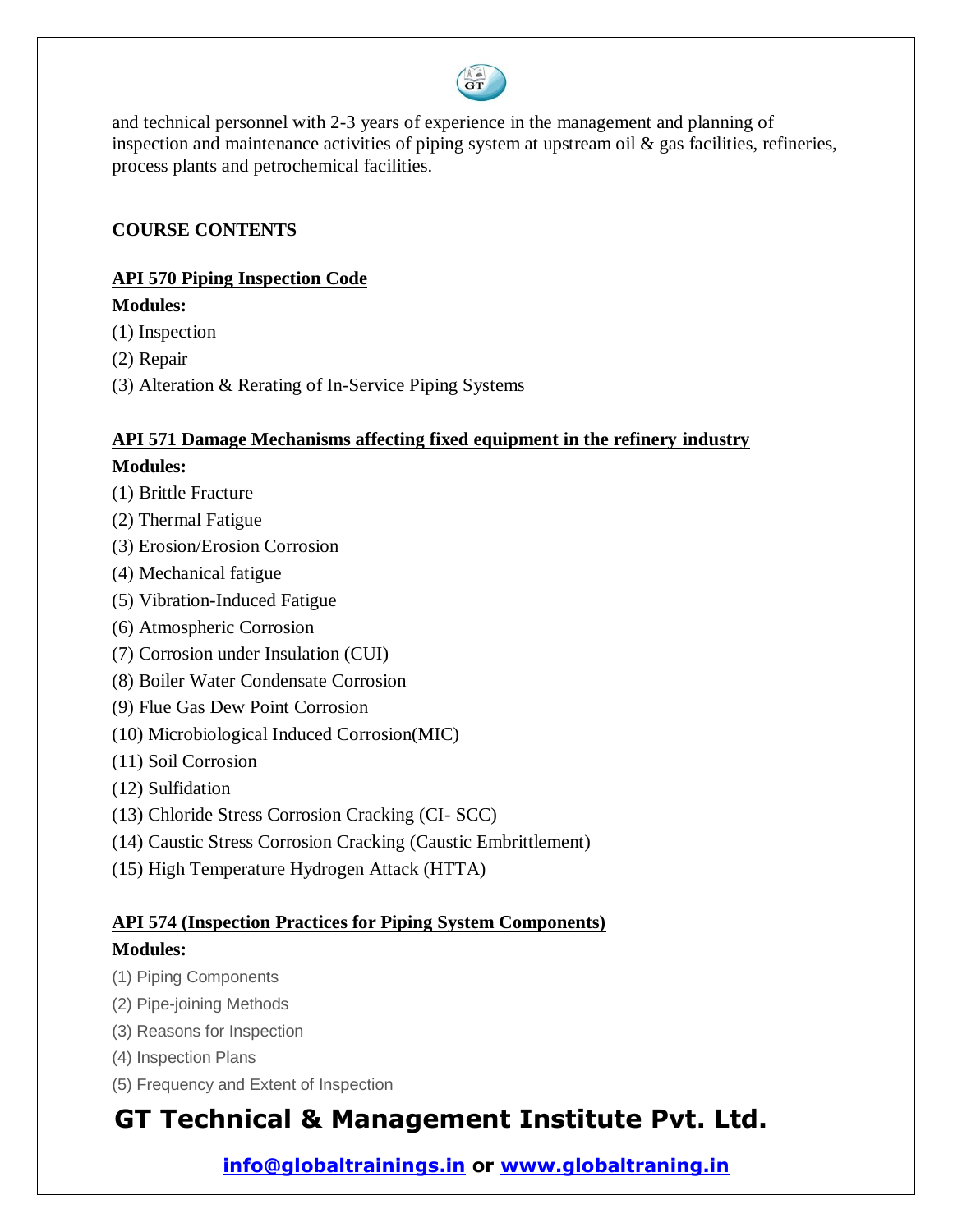

and technical personnel with 2-3 years of experience in the management and planning of inspection and maintenance activities of piping system at upstream oil & gas facilities, refineries, process plants and petrochemical facilities.

### **COURSE CONTENTS**

### **API 570 Piping Inspection Code**

### **Modules:**

- (1) Inspection
- (2) Repair
- (3) Alteration & Rerating of In-Service Piping Systems

## **API 571 Damage Mechanisms affecting fixed equipment in the refinery industry Modules:**

- (1) Brittle Fracture
- (2) Thermal Fatigue
- (3) Erosion/Erosion Corrosion
- (4) Mechanical fatigue
- (5) Vibration-Induced Fatigue
- (6) Atmospheric Corrosion
- (7) Corrosion under Insulation (CUI)
- (8) Boiler Water Condensate Corrosion
- (9) Flue Gas Dew Point Corrosion
- (10) Microbiological Induced Corrosion(MIC)
- (11) Soil Corrosion
- (12) Sulfidation
- (13) Chloride Stress Corrosion Cracking (CI- SCC)
- (14) Caustic Stress Corrosion Cracking (Caustic Embrittlement)
- (15) High Temperature Hydrogen Attack (HTTA)

# **API 574 (Inspection Practices for Piping System Components)**

## **Modules:**

- (1) Piping Components
- (2) Pipe-joining Methods
- (3) Reasons for Inspection
- (4) Inspection Plans
- (5) Frequency and Extent of Inspection

# **GT Technical & Management Institute Pvt. Ltd.**

**info@globaltrainings.in or www.globaltraning.in**